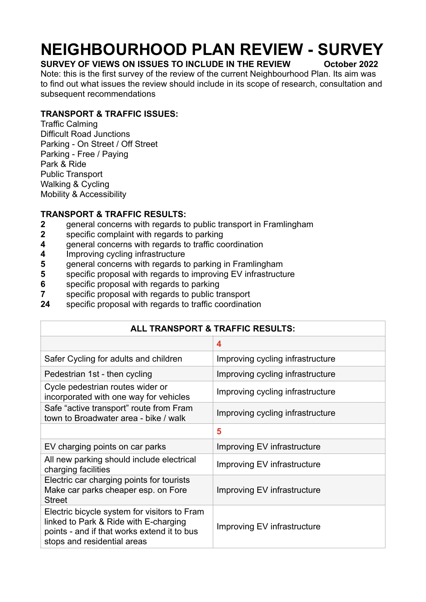# **NEIGHBOURHOOD PLAN REVIEW - SURVEY**

# **SURVEY OF VIEWS ON ISSUES TO INCLUDE IN THE REVIEW October 2022**

Note: this is the first survey of the review of the current Neighbourhood Plan. Its aim was to find out what issues the review should include in its scope of research, consultation and subsequent recommendations

# **TRANSPORT & TRAFFIC ISSUES:**

Traffic Calming Difficult Road Junctions Parking - On Street / Off Street Parking - Free / Paying Park & Ride Public Transport Walking & Cycling Mobility & Accessibility

# **TRANSPORT & TRAFFIC RESULTS:**

- **2** general concerns with regards to public transport in Framlingham
- **2** specific complaint with regards to parking
- **4** general concerns with regards to traffic coordination
- **4** Improving cycling infrastructure
- **5** general concerns with regards to parking in Framlingham
- **5** specific proposal with regards to improving EV infrastructure
- **6** specific proposal with regards to parking
- **7** specific proposal with regards to public transport
- **24** specific proposal with regards to traffic coordination

| ALL TRANSPORT & TRAFFIC RESULTS:                                                                                                                                    |                                  |
|---------------------------------------------------------------------------------------------------------------------------------------------------------------------|----------------------------------|
|                                                                                                                                                                     | 4                                |
| Safer Cycling for adults and children                                                                                                                               | Improving cycling infrastructure |
| Pedestrian 1st - then cycling                                                                                                                                       | Improving cycling infrastructure |
| Cycle pedestrian routes wider or<br>incorporated with one way for vehicles                                                                                          | Improving cycling infrastructure |
| Safe "active transport" route from Fram<br>town to Broadwater area - bike / walk                                                                                    | Improving cycling infrastructure |
|                                                                                                                                                                     | 5                                |
| EV charging points on car parks                                                                                                                                     | Improving EV infrastructure      |
| All new parking should include electrical<br>charging facilities                                                                                                    | Improving EV infrastructure      |
| Electric car charging points for tourists<br>Make car parks cheaper esp. on Fore<br><b>Street</b>                                                                   | Improving EV infrastructure      |
| Electric bicycle system for visitors to Fram<br>linked to Park & Ride with E-charging<br>points - and if that works extend it to bus<br>stops and residential areas | Improving EV infrastructure      |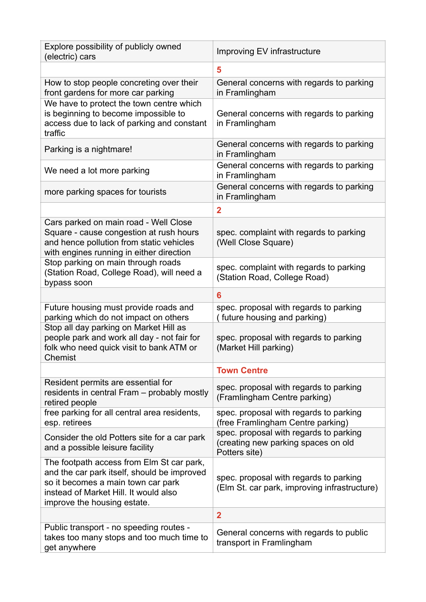| Explore possibility of publicly owned<br>(electric) cars                                                                                                                                               | Improving EV infrastructure                                                                    |
|--------------------------------------------------------------------------------------------------------------------------------------------------------------------------------------------------------|------------------------------------------------------------------------------------------------|
|                                                                                                                                                                                                        | 5                                                                                              |
| How to stop people concreting over their<br>front gardens for more car parking                                                                                                                         | General concerns with regards to parking<br>in Framlingham                                     |
| We have to protect the town centre which<br>is beginning to become impossible to<br>access due to lack of parking and constant<br>traffic                                                              | General concerns with regards to parking<br>in Framlingham                                     |
| Parking is a nightmare!                                                                                                                                                                                | General concerns with regards to parking<br>in Framlingham                                     |
| We need a lot more parking                                                                                                                                                                             | General concerns with regards to parking<br>in Framlingham                                     |
| more parking spaces for tourists                                                                                                                                                                       | General concerns with regards to parking<br>in Framlingham                                     |
|                                                                                                                                                                                                        | $\overline{2}$                                                                                 |
| Cars parked on main road - Well Close<br>Square - cause congestion at rush hours<br>and hence pollution from static vehicles<br>with engines running in either direction                               | spec. complaint with regards to parking<br>(Well Close Square)                                 |
| Stop parking on main through roads<br>(Station Road, College Road), will need a<br>bypass soon                                                                                                         | spec. complaint with regards to parking<br>(Station Road, College Road)                        |
|                                                                                                                                                                                                        | 6                                                                                              |
| Future housing must provide roads and<br>parking which do not impact on others                                                                                                                         | spec. proposal with regards to parking<br>(future housing and parking)                         |
| Stop all day parking on Market Hill as<br>people park and work all day - not fair for<br>folk who need quick visit to bank ATM or<br>Chemist                                                           | spec. proposal with regards to parking<br>(Market Hill parking)                                |
|                                                                                                                                                                                                        | <b>Town Centre</b>                                                                             |
| Resident permits are essential for<br>residents in central Fram - probably mostly<br>retired people                                                                                                    | spec. proposal with regards to parking<br>(Framlingham Centre parking)                         |
| free parking for all central area residents,<br>esp. retirees                                                                                                                                          | spec. proposal with regards to parking<br>(free Framlingham Centre parking)                    |
| Consider the old Potters site for a car park<br>and a possible leisure facility                                                                                                                        | spec. proposal with regards to parking<br>(creating new parking spaces on old<br>Potters site) |
| The footpath access from Elm St car park,<br>and the car park itself, should be improved<br>so it becomes a main town car park<br>instead of Market Hill. It would also<br>improve the housing estate. | spec. proposal with regards to parking<br>(Elm St. car park, improving infrastructure)         |
|                                                                                                                                                                                                        | $\overline{2}$                                                                                 |
| Public transport - no speeding routes -<br>takes too many stops and too much time to<br>get anywhere                                                                                                   | General concerns with regards to public<br>transport in Framlingham                            |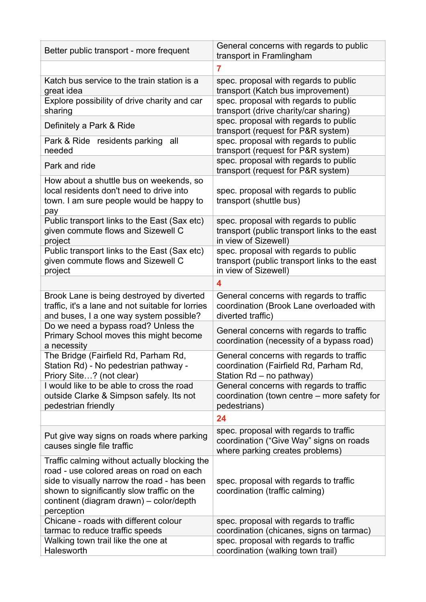| Better public transport - more frequent                                                                                                                                                                                                         | General concerns with regards to public<br>transport in Framlingham                                                  |
|-------------------------------------------------------------------------------------------------------------------------------------------------------------------------------------------------------------------------------------------------|----------------------------------------------------------------------------------------------------------------------|
|                                                                                                                                                                                                                                                 | $\overline{7}$                                                                                                       |
| Katch bus service to the train station is a<br>great idea                                                                                                                                                                                       | spec. proposal with regards to public<br>transport (Katch bus improvement)                                           |
| Explore possibility of drive charity and car<br>sharing                                                                                                                                                                                         | spec. proposal with regards to public<br>transport (drive charity/car sharing)                                       |
| Definitely a Park & Ride                                                                                                                                                                                                                        | spec. proposal with regards to public<br>transport (request for P&R system)                                          |
| Park & Ride residents parking<br>all<br>needed                                                                                                                                                                                                  | spec. proposal with regards to public<br>transport (request for P&R system)                                          |
| Park and ride                                                                                                                                                                                                                                   | spec. proposal with regards to public<br>transport (request for P&R system)                                          |
| How about a shuttle bus on weekends, so<br>local residents don't need to drive into<br>town. I am sure people would be happy to<br>pay                                                                                                          | spec. proposal with regards to public<br>transport (shuttle bus)                                                     |
| Public transport links to the East (Sax etc)<br>given commute flows and Sizewell C<br>project                                                                                                                                                   | spec. proposal with regards to public<br>transport (public transport links to the east<br>in view of Sizewell)       |
| Public transport links to the East (Sax etc)<br>given commute flows and Sizewell C<br>project                                                                                                                                                   | spec. proposal with regards to public<br>transport (public transport links to the east<br>in view of Sizewell)       |
|                                                                                                                                                                                                                                                 | $\overline{\mathbf{4}}$                                                                                              |
| Brook Lane is being destroyed by diverted<br>traffic, it's a lane and not suitable for lorries<br>and buses, I a one way system possible?                                                                                                       | General concerns with regards to traffic<br>coordination (Brook Lane overloaded with<br>diverted traffic)            |
| Do we need a bypass road? Unless the<br>Primary School moves this might become<br>a necessity                                                                                                                                                   | General concerns with regards to traffic<br>coordination (necessity of a bypass road)                                |
| The Bridge (Fairfield Rd, Parham Rd,<br>Station Rd) - No pedestrian pathway -<br>Priory Site? (not clear)                                                                                                                                       | General concerns with regards to traffic<br>coordination (Fairfield Rd, Parham Rd,<br>Station Rd - no pathway)       |
| I would like to be able to cross the road<br>outside Clarke & Simpson safely. Its not<br>pedestrian friendly                                                                                                                                    | General concerns with regards to traffic<br>coordination (town centre – more safety for<br>pedestrians)              |
|                                                                                                                                                                                                                                                 | 24                                                                                                                   |
| Put give way signs on roads where parking<br>causes single file traffic                                                                                                                                                                         | spec. proposal with regards to traffic<br>coordination ("Give Way" signs on roads<br>where parking creates problems) |
| Traffic calming without actually blocking the<br>road - use colored areas on road on each<br>side to visually narrow the road - has been<br>shown to significantly slow traffic on the<br>continent (diagram drawn) - color/depth<br>perception | spec. proposal with regards to traffic<br>coordination (traffic calming)                                             |
| Chicane - roads with different colour<br>tarmac to reduce traffic speeds                                                                                                                                                                        | spec. proposal with regards to traffic<br>coordination (chicanes, signs on tarmac)                                   |
| Walking town trail like the one at<br>Halesworth                                                                                                                                                                                                | spec. proposal with regards to traffic<br>coordination (walking town trail)                                          |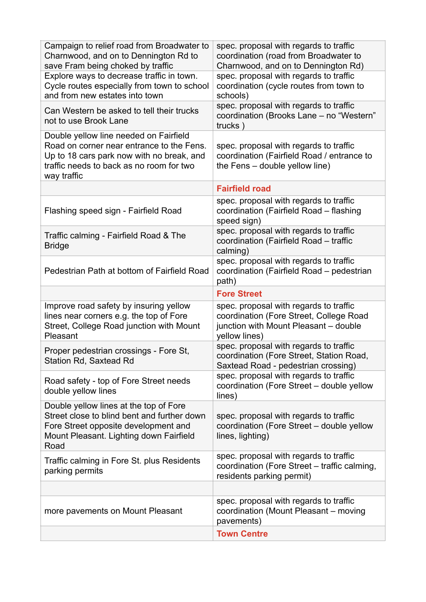| Campaign to relief road from Broadwater to<br>Charnwood, and on to Dennington Rd to<br>save Fram being choked by traffic                                                                    | spec. proposal with regards to traffic<br>coordination (road from Broadwater to<br>Charnwood, and on to Dennington Rd)                     |
|---------------------------------------------------------------------------------------------------------------------------------------------------------------------------------------------|--------------------------------------------------------------------------------------------------------------------------------------------|
| Explore ways to decrease traffic in town.<br>Cycle routes especially from town to school<br>and from new estates into town                                                                  | spec. proposal with regards to traffic<br>coordination (cycle routes from town to<br>schools)                                              |
| Can Western be asked to tell their trucks<br>not to use Brook Lane                                                                                                                          | spec. proposal with regards to traffic<br>coordination (Brooks Lane - no "Western"<br>trucks)                                              |
| Double yellow line needed on Fairfield<br>Road on corner near entrance to the Fens.<br>Up to 18 cars park now with no break, and<br>traffic needs to back as no room for two<br>way traffic | spec. proposal with regards to traffic<br>coordination (Fairfield Road / entrance to<br>the Fens - double yellow line)                     |
|                                                                                                                                                                                             | <b>Fairfield road</b>                                                                                                                      |
| Flashing speed sign - Fairfield Road                                                                                                                                                        | spec. proposal with regards to traffic<br>coordination (Fairfield Road - flashing<br>speed sign)                                           |
| Traffic calming - Fairfield Road & The<br><b>Bridge</b>                                                                                                                                     | spec. proposal with regards to traffic<br>coordination (Fairfield Road - traffic<br>calming)                                               |
| Pedestrian Path at bottom of Fairfield Road                                                                                                                                                 | spec. proposal with regards to traffic<br>coordination (Fairfield Road - pedestrian<br>path)                                               |
|                                                                                                                                                                                             |                                                                                                                                            |
|                                                                                                                                                                                             | <b>Fore Street</b>                                                                                                                         |
| Improve road safety by insuring yellow<br>lines near corners e.g. the top of Fore<br>Street, College Road junction with Mount<br>Pleasant                                                   | spec. proposal with regards to traffic<br>coordination (Fore Street, College Road<br>junction with Mount Pleasant - double                 |
| Proper pedestrian crossings - Fore St,<br>Station Rd, Saxtead Rd                                                                                                                            | yellow lines)<br>spec. proposal with regards to traffic<br>coordination (Fore Street, Station Road,<br>Saxtead Road - pedestrian crossing) |
| Road safety - top of Fore Street needs<br>double yellow lines                                                                                                                               | spec. proposal with regards to traffic<br>coordination (Fore Street - double yellow<br>lines)                                              |
| Double yellow lines at the top of Fore<br>Street close to blind bent and further down<br>Fore Street opposite development and<br>Mount Pleasant. Lighting down Fairfield<br>Road            | spec. proposal with regards to traffic<br>coordination (Fore Street - double yellow<br>lines, lighting)                                    |
| Traffic calming in Fore St. plus Residents<br>parking permits                                                                                                                               | spec. proposal with regards to traffic<br>coordination (Fore Street - traffic calming,<br>residents parking permit)                        |
|                                                                                                                                                                                             |                                                                                                                                            |
| more pavements on Mount Pleasant                                                                                                                                                            | spec. proposal with regards to traffic<br>coordination (Mount Pleasant – moving<br>pavements)                                              |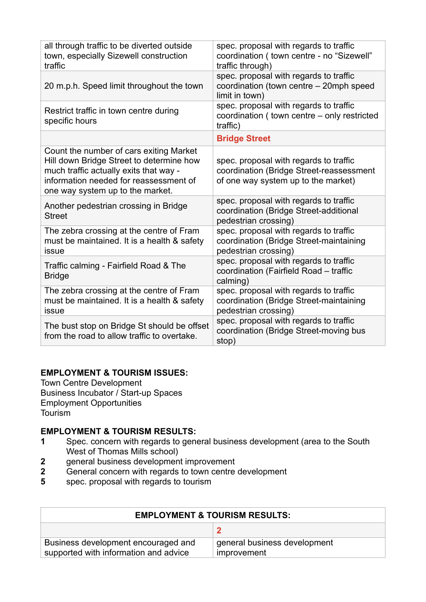| all through traffic to be diverted outside<br>town, especially Sizewell construction<br>traffic                                                                                                             | spec. proposal with regards to traffic<br>coordination ( town centre - no "Sizewell"<br>traffic through)                  |
|-------------------------------------------------------------------------------------------------------------------------------------------------------------------------------------------------------------|---------------------------------------------------------------------------------------------------------------------------|
| 20 m.p.h. Speed limit throughout the town                                                                                                                                                                   | spec. proposal with regards to traffic<br>coordination (town centre - 20mph speed<br>limit in town)                       |
| Restrict traffic in town centre during<br>specific hours                                                                                                                                                    | spec. proposal with regards to traffic<br>coordination (town centre - only restricted<br>traffic)                         |
|                                                                                                                                                                                                             | <b>Bridge Street</b>                                                                                                      |
| Count the number of cars exiting Market<br>Hill down Bridge Street to determine how<br>much traffic actually exits that way -<br>information needed for reassessment of<br>one way system up to the market. | spec. proposal with regards to traffic<br>coordination (Bridge Street-reassessment<br>of one way system up to the market) |
| Another pedestrian crossing in Bridge<br><b>Street</b>                                                                                                                                                      | spec. proposal with regards to traffic<br>coordination (Bridge Street-additional<br>pedestrian crossing)                  |
| The zebra crossing at the centre of Fram<br>must be maintained. It is a health & safety<br>issue                                                                                                            | spec. proposal with regards to traffic<br>coordination (Bridge Street-maintaining<br>pedestrian crossing)                 |
| Traffic calming - Fairfield Road & The<br><b>Bridge</b>                                                                                                                                                     | spec. proposal with regards to traffic<br>coordination (Fairfield Road - traffic<br>calming)                              |
| The zebra crossing at the centre of Fram<br>must be maintained. It is a health & safety<br>issue                                                                                                            | spec. proposal with regards to traffic<br>coordination (Bridge Street-maintaining<br>pedestrian crossing)                 |
| The bust stop on Bridge St should be offset<br>from the road to allow traffic to overtake.                                                                                                                  | spec. proposal with regards to traffic<br>coordination (Bridge Street-moving bus<br>stop)                                 |

#### **EMPLOYMENT & TOURISM ISSUES:**

Town Centre Development Business Incubator / Start-up Spaces Employment Opportunities Tourism

#### **EMPLOYMENT & TOURISM RESULTS:**

- **1** Spec. concern with regards to general business development (area to the South West of Thomas Mills school)<br>2 general business developmen
- **2** general business development improvement<br>**2** General concern with regards to town centre
- **2** General concern with regards to town centre development<br>**5** spec. proposal with regards to tourism
- **5** spec. proposal with regards to tourism

| <b>EMPLOYMENT &amp; TOURISM RESULTS:</b>                                     |                                             |
|------------------------------------------------------------------------------|---------------------------------------------|
|                                                                              |                                             |
| Business development encouraged and<br>supported with information and advice | general business development<br>improvement |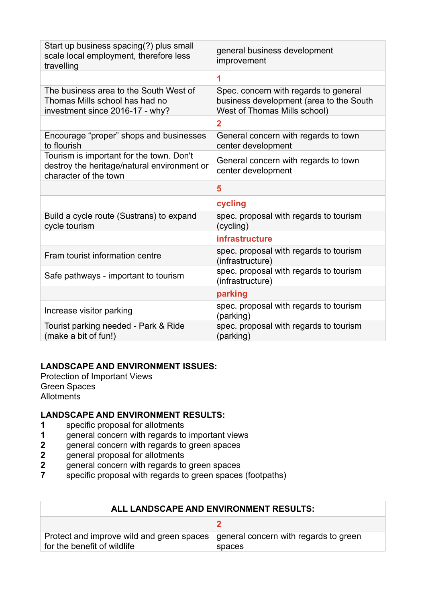| Start up business spacing(?) plus small<br>scale local employment, therefore less<br>travelling                  | general business development<br>improvement                                                                      |
|------------------------------------------------------------------------------------------------------------------|------------------------------------------------------------------------------------------------------------------|
|                                                                                                                  | 1                                                                                                                |
| The business area to the South West of<br>Thomas Mills school has had no<br>investment since 2016-17 - why?      | Spec. concern with regards to general<br>business development (area to the South<br>West of Thomas Mills school) |
|                                                                                                                  | $\overline{2}$                                                                                                   |
| Encourage "proper" shops and businesses<br>to flourish                                                           | General concern with regards to town<br>center development                                                       |
| Tourism is important for the town. Don't<br>destroy the heritage/natural environment or<br>character of the town | General concern with regards to town<br>center development                                                       |
|                                                                                                                  | 5                                                                                                                |
|                                                                                                                  | cycling                                                                                                          |
| Build a cycle route (Sustrans) to expand<br>cycle tourism                                                        | spec. proposal with regards to tourism<br>(cycling)                                                              |
|                                                                                                                  | <b>infrastructure</b>                                                                                            |
| Fram tourist information centre                                                                                  | spec. proposal with regards to tourism<br>(infrastructure)                                                       |
| Safe pathways - important to tourism                                                                             | spec. proposal with regards to tourism<br>(infrastructure)                                                       |
|                                                                                                                  | parking                                                                                                          |
| Increase visitor parking                                                                                         | spec. proposal with regards to tourism<br>(parking)                                                              |
| Tourist parking needed - Park & Ride<br>(make a bit of fun!)                                                     | spec. proposal with regards to tourism<br>(parking)                                                              |

#### **LANDSCAPE AND ENVIRONMENT ISSUES:**

Protection of Important Views Green Spaces Allotments

## **LANDSCAPE AND ENVIRONMENT RESULTS:**

- **1** specific proposal for allotments<br>**1** oeneral concern with regards to
- **1** general concern with regards to important views<br>**2** general concern with regards to green spaces
- **2** general concern with regards to green spaces<br>**2** general proposal for allotments
- **2** general proposal for allotments
- **2** general concern with regards to green spaces<br> **7** specific proposal with regards to green spaces
- specific proposal with regards to green spaces (footpaths)

| ALL LANDSCAPE AND ENVIRONMENT RESULTS:                                                                           |        |
|------------------------------------------------------------------------------------------------------------------|--------|
|                                                                                                                  |        |
| Protect and improve wild and green spaces   general concern with regards to green<br>for the benefit of wildlife | spaces |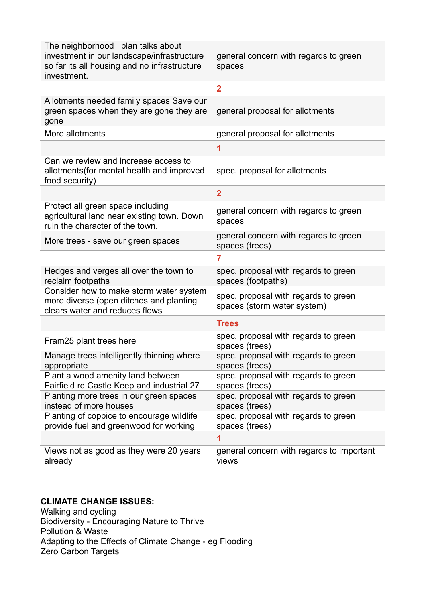| The neighborhood plan talks about<br>investment in our landscape/infrastructure<br>so far its all housing and no infrastructure<br>investment. | general concern with regards to green<br>spaces                     |
|------------------------------------------------------------------------------------------------------------------------------------------------|---------------------------------------------------------------------|
|                                                                                                                                                | $\overline{2}$                                                      |
| Allotments needed family spaces Save our<br>green spaces when they are gone they are<br>gone                                                   | general proposal for allotments                                     |
| More allotments                                                                                                                                | general proposal for allotments                                     |
|                                                                                                                                                | 1                                                                   |
| Can we review and increase access to<br>allotments (for mental health and improved<br>food security)                                           | spec. proposal for allotments                                       |
|                                                                                                                                                | $\overline{2}$                                                      |
| Protect all green space including<br>agricultural land near existing town. Down<br>ruin the character of the town.                             | general concern with regards to green<br>spaces                     |
| More trees - save our green spaces                                                                                                             | general concern with regards to green<br>spaces (trees)             |
|                                                                                                                                                | 7                                                                   |
| Hedges and verges all over the town to<br>reclaim footpaths                                                                                    | spec. proposal with regards to green<br>spaces (footpaths)          |
| Consider how to make storm water system<br>more diverse (open ditches and planting<br>clears water and reduces flows                           | spec. proposal with regards to green<br>spaces (storm water system) |
|                                                                                                                                                | <b>Trees</b>                                                        |
| Fram25 plant trees here                                                                                                                        | spec. proposal with regards to green<br>spaces (trees)              |
| Manage trees intelligently thinning where<br>appropriate                                                                                       | spec. proposal with regards to green<br>spaces (trees)              |
| Plant a wood amenity land between<br>Fairfield rd Castle Keep and industrial 27                                                                | spec. proposal with regards to green<br>spaces (trees)              |
| Planting more trees in our green spaces<br>instead of more houses                                                                              | spec. proposal with regards to green<br>spaces (trees)              |
| Planting of coppice to encourage wildlife<br>provide fuel and greenwood for working                                                            | spec. proposal with regards to green<br>spaces (trees)              |
|                                                                                                                                                | 1                                                                   |
| Views not as good as they were 20 years<br>already                                                                                             | general concern with regards to important<br>views                  |

## **CLIMATE CHANGE ISSUES:**

Walking and cycling Biodiversity - Encouraging Nature to Thrive Pollution & Waste Adapting to the Effects of Climate Change - eg Flooding Zero Carbon Targets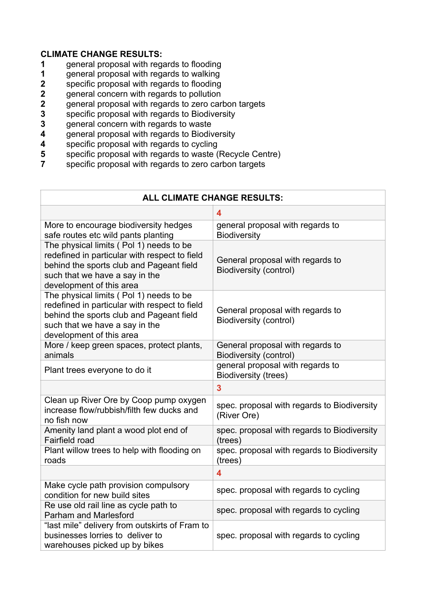## **CLIMATE CHANGE RESULTS:**

- **1** general proposal with regards to flooding
- **1** general proposal with regards to walking<br>**2** specific proposal with regards to flooding
- **2** specific proposal with regards to flooding<br>**2** general concern with regards to pollution
- **2** general concern with regards to pollution<br>**2** general proposal with regards to zero car
- **2** general proposal with regards to zero carbon targets
- **3** specific proposal with regards to Biodiversity<br>**3** oeneral concern with regards to waste
- **3** general concern with regards to waste<br>**4** general proposal with regards to Biodiv
- **4** general proposal with regards to Biodiversity
- **4** specific proposal with regards to cycling<br>**5** specific proposal with regards to waste (
- **5** specific proposal with regards to waste (Recycle Centre)<br>**7** specific proposal with regards to zero carbon targets
- **7** specific proposal with regards to zero carbon targets

| <b>ALL CLIMATE CHANGE RESULTS:</b>                                                                                                                                                                 |                                                                   |
|----------------------------------------------------------------------------------------------------------------------------------------------------------------------------------------------------|-------------------------------------------------------------------|
|                                                                                                                                                                                                    | 4                                                                 |
| More to encourage biodiversity hedges<br>safe routes etc wild pants planting                                                                                                                       | general proposal with regards to<br><b>Biodiversity</b>           |
| The physical limits (Pol 1) needs to be<br>redefined in particular with respect to field<br>behind the sports club and Pageant field<br>such that we have a say in the<br>development of this area | General proposal with regards to<br>Biodiversity (control)        |
| The physical limits (Pol 1) needs to be<br>redefined in particular with respect to field<br>behind the sports club and Pageant field<br>such that we have a say in the<br>development of this area | General proposal with regards to<br><b>Biodiversity (control)</b> |
| More / keep green spaces, protect plants,<br>animals                                                                                                                                               | General proposal with regards to<br><b>Biodiversity (control)</b> |
| Plant trees everyone to do it                                                                                                                                                                      | general proposal with regards to<br>Biodiversity (trees)          |
|                                                                                                                                                                                                    | 3                                                                 |
| Clean up River Ore by Coop pump oxygen<br>increase flow/rubbish/filth few ducks and<br>no fish now                                                                                                 | spec. proposal with regards to Biodiversity<br>(River Ore)        |
| Amenity land plant a wood plot end of<br>Fairfield road                                                                                                                                            | spec. proposal with regards to Biodiversity<br>(trees)            |
| Plant willow trees to help with flooding on<br>roads                                                                                                                                               | spec. proposal with regards to Biodiversity<br>(trees)            |
|                                                                                                                                                                                                    | 4                                                                 |
| Make cycle path provision compulsory<br>condition for new build sites                                                                                                                              | spec. proposal with regards to cycling                            |
| Re use old rail line as cycle path to<br><b>Parham and Marlesford</b>                                                                                                                              | spec. proposal with regards to cycling                            |
| "last mile" delivery from outskirts of Fram to<br>businesses lorries to deliver to<br>warehouses picked up by bikes                                                                                | spec. proposal with regards to cycling                            |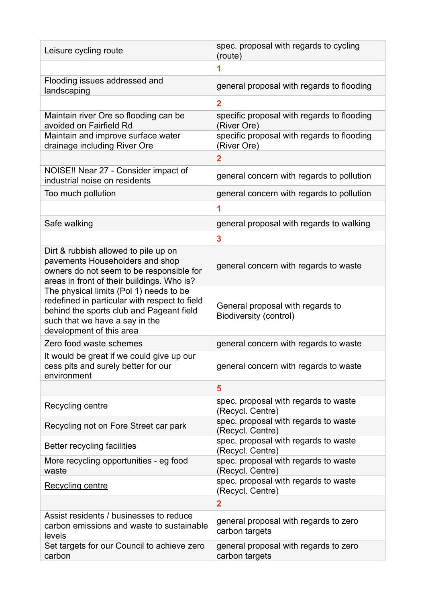| Leisure cycling route                                                                                                                                                                              | spec. proposal with regards to cycling<br>(route)          |
|----------------------------------------------------------------------------------------------------------------------------------------------------------------------------------------------------|------------------------------------------------------------|
|                                                                                                                                                                                                    | 1                                                          |
| Flooding issues addressed and<br>landscaping                                                                                                                                                       | general proposal with regards to flooding                  |
|                                                                                                                                                                                                    | $\overline{2}$                                             |
| Maintain river Ore so flooding can be<br>avoided on Fairfield Rd                                                                                                                                   | specific proposal with regards to flooding<br>(River Ore)  |
| Maintain and improve surface water<br>drainage including River Ore                                                                                                                                 | specific proposal with regards to flooding<br>(River Ore)  |
|                                                                                                                                                                                                    | $\overline{2}$                                             |
| NOISE!! Near 27 - Consider impact of<br>industrial noise on residents                                                                                                                              | general concern with regards to pollution                  |
| Too much pollution                                                                                                                                                                                 | general concern with regards to pollution                  |
|                                                                                                                                                                                                    | 1                                                          |
| Safe walking                                                                                                                                                                                       | general proposal with regards to walking                   |
|                                                                                                                                                                                                    | 3                                                          |
| Dirt & rubbish allowed to pile up on<br>pavements Householders and shop<br>owners do not seem to be responsible for<br>areas in front of their buildings. Who is?                                  | general concern with regards to waste                      |
| The physical limits (Pol 1) needs to be<br>redefined in particular with respect to field<br>behind the sports club and Pageant field<br>such that we have a say in the<br>development of this area | General proposal with regards to<br>Biodiversity (control) |
| Zero food waste schemes                                                                                                                                                                            | general concern with regards to waste                      |
| It would be great if we could give up our<br>cess pits and surely better for our<br>environment                                                                                                    | general concern with regards to waste                      |
|                                                                                                                                                                                                    | 5                                                          |
| Recycling centre                                                                                                                                                                                   | spec. proposal with regards to waste<br>(Recycl. Centre)   |
| Recycling not on Fore Street car park                                                                                                                                                              | spec. proposal with regards to waste<br>(Recycl. Centre)   |
| Better recycling facilities                                                                                                                                                                        | spec. proposal with regards to waste<br>(Recycl. Centre)   |
| More recycling opportunities - eg food<br>waste                                                                                                                                                    | spec. proposal with regards to waste<br>(Recycl. Centre)   |
| Recycling centre                                                                                                                                                                                   | spec. proposal with regards to waste<br>(Recycl. Centre)   |
|                                                                                                                                                                                                    | $\overline{2}$                                             |
| Assist residents / businesses to reduce<br>carbon emissions and waste to sustainable<br>levels                                                                                                     | general proposal with regards to zero<br>carbon targets    |
| Set targets for our Council to achieve zero<br>carbon                                                                                                                                              | general proposal with regards to zero<br>carbon targets    |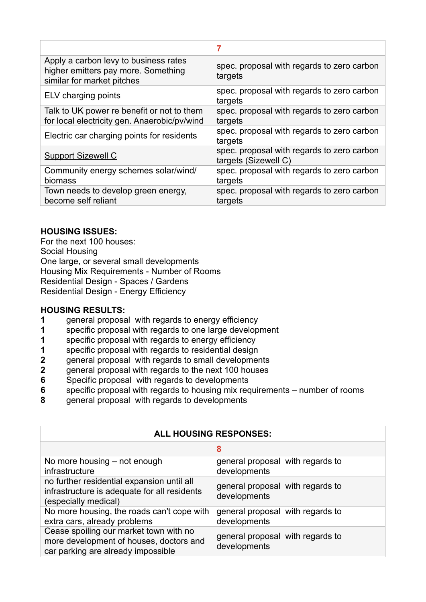|                                                                                                            | 7                                                                  |
|------------------------------------------------------------------------------------------------------------|--------------------------------------------------------------------|
| Apply a carbon levy to business rates<br>higher emitters pay more. Something<br>similar for market pitches | spec. proposal with regards to zero carbon<br>targets              |
| ELV charging points                                                                                        | spec. proposal with regards to zero carbon<br>targets              |
| Talk to UK power re benefit or not to them<br>for local electricity gen. Anaerobic/pv/wind                 | spec. proposal with regards to zero carbon<br>targets              |
| Electric car charging points for residents                                                                 | spec. proposal with regards to zero carbon<br>targets              |
| <b>Support Sizewell C</b>                                                                                  | spec. proposal with regards to zero carbon<br>targets (Sizewell C) |
| Community energy schemes solar/wind/<br>biomass                                                            | spec. proposal with regards to zero carbon<br>targets              |
| Town needs to develop green energy,<br>become self reliant                                                 | spec. proposal with regards to zero carbon<br>targets              |

#### **HOUSING ISSUES:**

For the next 100 houses: Social Housing One large, or several small developments Housing Mix Requirements - Number of Rooms Residential Design - Spaces / Gardens Residential Design - Energy Efficiency

#### **HOUSING RESULTS:**

- **1** general proposal with regards to energy efficiency
- **1** specific proposal with regards to one large development
- **1** specific proposal with regards to energy efficiency
- **1** specific proposal with regards to residential design
- **2** general proposal with regards to small developments
- **2** general proposal with regards to the next 100 houses
- **6** Specific proposal with regards to developments
- **6** specific proposal with regards to housing mix requirements number of rooms
- **8** general proposal with regards to developments

| <b>ALL HOUSING RESPONSES:</b>                                                                                           |                                                  |
|-------------------------------------------------------------------------------------------------------------------------|--------------------------------------------------|
|                                                                                                                         | 8                                                |
| No more housing – not enough<br>infrastructure                                                                          | general proposal with regards to<br>developments |
| no further residential expansion until all<br>infrastructure is adequate for all residents<br>(especially medical)      | general proposal with regards to<br>developments |
| No more housing, the roads can't cope with<br>extra cars, already problems                                              | general proposal with regards to<br>developments |
| Cease spoiling our market town with no<br>more development of houses, doctors and<br>car parking are already impossible | general proposal with regards to<br>developments |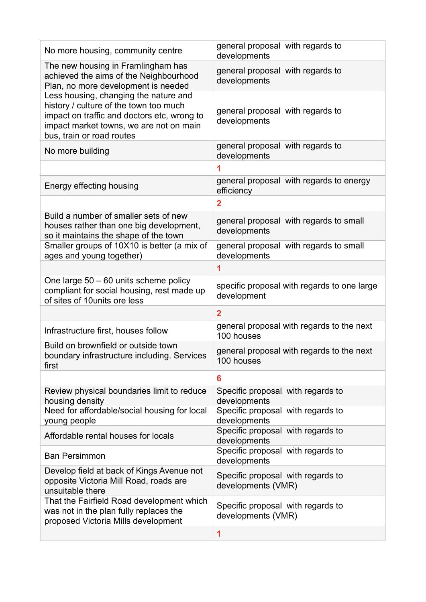| No more housing, community centre                                                                                                                                                                      | general proposal with regards to<br>developments           |
|--------------------------------------------------------------------------------------------------------------------------------------------------------------------------------------------------------|------------------------------------------------------------|
| The new housing in Framlingham has<br>achieved the aims of the Neighbourhood<br>Plan, no more development is needed                                                                                    | general proposal with regards to<br>developments           |
| Less housing, changing the nature and<br>history / culture of the town too much<br>impact on traffic and doctors etc, wrong to<br>impact market towns, we are not on main<br>bus, train or road routes | general proposal with regards to<br>developments           |
| No more building                                                                                                                                                                                       | general proposal with regards to<br>developments           |
|                                                                                                                                                                                                        | 1                                                          |
| Energy effecting housing                                                                                                                                                                               | general proposal with regards to energy<br>efficiency      |
|                                                                                                                                                                                                        | $\overline{2}$                                             |
| Build a number of smaller sets of new<br>houses rather than one big development,<br>so it maintains the shape of the town                                                                              | general proposal with regards to small<br>developments     |
| Smaller groups of 10X10 is better (a mix of<br>ages and young together)                                                                                                                                | general proposal with regards to small<br>developments     |
|                                                                                                                                                                                                        | 1                                                          |
| One large 50 - 60 units scheme policy<br>compliant for social housing, rest made up<br>of sites of 10 units ore less                                                                                   | specific proposal with regards to one large<br>development |
|                                                                                                                                                                                                        | $\overline{2}$                                             |
| Infrastructure first, houses follow                                                                                                                                                                    | general proposal with regards to the next<br>100 houses    |
| Build on brownfield or outside town<br>boundary infrastructure including. Services<br>first                                                                                                            | general proposal with regards to the next<br>100 houses    |
|                                                                                                                                                                                                        | 6                                                          |
| Review physical boundaries limit to reduce<br>housing density                                                                                                                                          | Specific proposal with regards to<br>developments          |
| Need for affordable/social housing for local<br>young people                                                                                                                                           | Specific proposal with regards to<br>developments          |
| Affordable rental houses for locals                                                                                                                                                                    | Specific proposal with regards to<br>developments          |
| <b>Ban Persimmon</b>                                                                                                                                                                                   | Specific proposal with regards to<br>developments          |
| Develop field at back of Kings Avenue not<br>opposite Victoria Mill Road, roads are<br>unsuitable there                                                                                                | Specific proposal with regards to<br>developments (VMR)    |
| That the Fairfield Road development which<br>was not in the plan fully replaces the<br>proposed Victoria Mills development                                                                             | Specific proposal with regards to<br>developments (VMR)    |
|                                                                                                                                                                                                        | 1                                                          |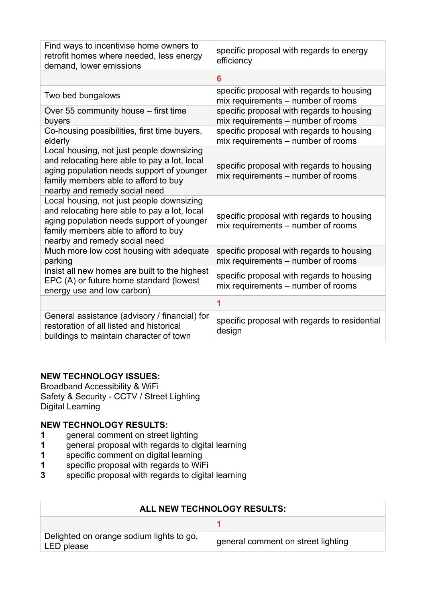| Find ways to incentivise home owners to<br>retrofit homes where needed, less energy<br>demand, lower emissions                                                                                                  | specific proposal with regards to energy<br>efficiency                          |
|-----------------------------------------------------------------------------------------------------------------------------------------------------------------------------------------------------------------|---------------------------------------------------------------------------------|
|                                                                                                                                                                                                                 | 6                                                                               |
| Two bed bungalows                                                                                                                                                                                               | specific proposal with regards to housing<br>mix requirements - number of rooms |
| Over 55 community house – first time<br>buyers                                                                                                                                                                  | specific proposal with regards to housing<br>mix requirements - number of rooms |
| Co-housing possibilities, first time buyers,<br>elderly                                                                                                                                                         | specific proposal with regards to housing<br>mix requirements – number of rooms |
| Local housing, not just people downsizing<br>and relocating here able to pay a lot, local<br>aging population needs support of younger<br>family members able to afford to buy<br>nearby and remedy social need | specific proposal with regards to housing<br>mix requirements – number of rooms |
| Local housing, not just people downsizing<br>and relocating here able to pay a lot, local<br>aging population needs support of younger<br>family members able to afford to buy<br>nearby and remedy social need | specific proposal with regards to housing<br>mix requirements – number of rooms |
| Much more low cost housing with adequate<br>parking                                                                                                                                                             | specific proposal with regards to housing<br>mix requirements - number of rooms |
| Insist all new homes are built to the highest<br>EPC (A) or future home standard (lowest<br>energy use and low carbon)                                                                                          | specific proposal with regards to housing<br>mix requirements – number of rooms |
|                                                                                                                                                                                                                 | 1                                                                               |
| General assistance (advisory / financial) for<br>restoration of all listed and historical<br>buildings to maintain character of town                                                                            | specific proposal with regards to residential<br>design                         |

#### **NEW TECHNOLOGY ISSUES:**

Broadband Accessibility & WiFi Safety & Security - CCTV / Street Lighting Digital Learning

#### **NEW TECHNOLOGY RESULTS:**

- **1** general comment on street lighting<br>**1** general proposal with regards to dig
- **1** general proposal with regards to digital learning<br>**1** specific comment on digital learning
- specific comment on digital learning
- **1** specific proposal with regards to WiFi<br>**3** specific proposal with regards to digita
- **3** specific proposal with regards to digital learning

| ALL NEW TECHNOLOGY RESULTS:                            |                                    |
|--------------------------------------------------------|------------------------------------|
|                                                        |                                    |
| Delighted on orange sodium lights to go,<br>LED please | general comment on street lighting |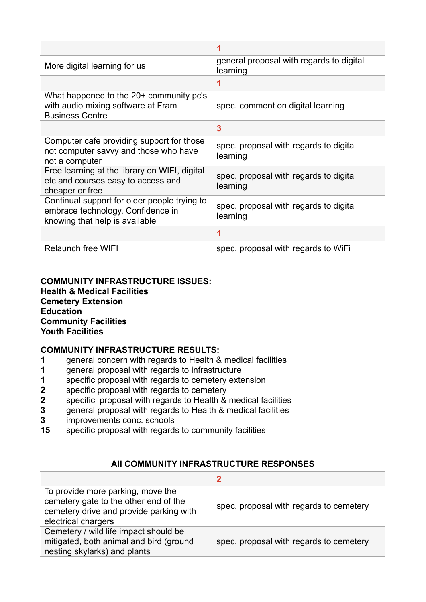|                                                                                                                     | 1                                                    |
|---------------------------------------------------------------------------------------------------------------------|------------------------------------------------------|
| More digital learning for us                                                                                        | general proposal with regards to digital<br>learning |
|                                                                                                                     | 1                                                    |
| What happened to the 20+ community pc's<br>with audio mixing software at Fram<br><b>Business Centre</b>             | spec. comment on digital learning                    |
|                                                                                                                     | 3                                                    |
| Computer cafe providing support for those<br>not computer savvy and those who have<br>not a computer                | spec. proposal with regards to digital<br>learning   |
| Free learning at the library on WIFI, digital<br>etc and courses easy to access and<br>cheaper or free              | spec. proposal with regards to digital<br>learning   |
| Continual support for older people trying to<br>embrace technology. Confidence in<br>knowing that help is available | spec. proposal with regards to digital<br>learning   |
|                                                                                                                     | 1                                                    |
| <b>Relaunch free WIFI</b>                                                                                           | spec. proposal with regards to WiFi                  |

#### **COMMUNITY INFRASTRUCTURE ISSUES: Health & Medical Facilities Cemetery Extension Education Community Facilities Youth Facilities**

#### **COMMUNITY INFRASTRUCTURE RESULTS:**

- **1** general concern with regards to Health & medical facilities
- **1** general proposal with regards to infrastructure<br>**1** specific proposal with regards to cemetery exte
- **1** specific proposal with regards to cemetery extension
- **2** specific proposal with regards to cemetery
- **2** specific proposal with regards to Health & medical facilities
- **3** general proposal with regards to Health & medical facilities
- **3** improvements conc. schools
- **15** specific proposal with regards to community facilities

| AII COMMUNITY INFRASTRUCTURE RESPONSES                                                                                                       |                                         |
|----------------------------------------------------------------------------------------------------------------------------------------------|-----------------------------------------|
|                                                                                                                                              | 2                                       |
| To provide more parking, move the<br>cemetery gate to the other end of the<br>cemetery drive and provide parking with<br>electrical chargers | spec. proposal with regards to cemetery |
| Cemetery / wild life impact should be<br>mitigated, both animal and bird (ground<br>nesting skylarks) and plants                             | spec. proposal with regards to cemetery |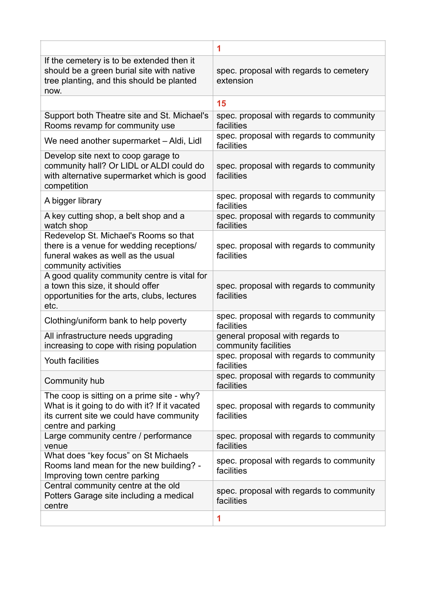|                                                                                                                                                               | 1                                                        |
|---------------------------------------------------------------------------------------------------------------------------------------------------------------|----------------------------------------------------------|
| If the cemetery is to be extended then it<br>should be a green burial site with native<br>tree planting, and this should be planted<br>now.                   | spec. proposal with regards to cemetery<br>extension     |
|                                                                                                                                                               | 15                                                       |
| Support both Theatre site and St. Michael's<br>Rooms revamp for community use                                                                                 | spec. proposal with regards to community<br>facilities   |
| We need another supermarket - Aldi, Lidl                                                                                                                      | spec. proposal with regards to community<br>facilities   |
| Develop site next to coop garage to<br>community hall? Or LIDL or ALDI could do<br>with alternative supermarket which is good<br>competition                  | spec. proposal with regards to community<br>facilities   |
| A bigger library                                                                                                                                              | spec. proposal with regards to community<br>facilities   |
| A key cutting shop, a belt shop and a<br>watch shop                                                                                                           | spec. proposal with regards to community<br>facilities   |
| Redevelop St. Michael's Rooms so that<br>there is a venue for wedding receptions/<br>funeral wakes as well as the usual<br>community activities               | spec. proposal with regards to community<br>facilities   |
| A good quality community centre is vital for<br>a town this size, it should offer<br>opportunities for the arts, clubs, lectures<br>etc.                      | spec. proposal with regards to community<br>facilities   |
| Clothing/uniform bank to help poverty                                                                                                                         | spec. proposal with regards to community<br>facilities   |
| All infrastructure needs upgrading<br>increasing to cope with rising population                                                                               | general proposal with regards to<br>community facilities |
| Youth facilities                                                                                                                                              | spec. proposal with regards to community<br>facilities   |
| Community hub                                                                                                                                                 | spec. proposal with regards to community<br>facilities   |
| The coop is sitting on a prime site - why?<br>What is it going to do with it? If it vacated<br>its current site we could have community<br>centre and parking | spec. proposal with regards to community<br>facilities   |
| Large community centre / performance<br>venue                                                                                                                 | spec. proposal with regards to community<br>facilities   |
| What does "key focus" on St Michaels<br>Rooms land mean for the new building? -<br>Improving town centre parking                                              | spec. proposal with regards to community<br>facilities   |
| Central community centre at the old<br>Potters Garage site including a medical<br>centre                                                                      | spec. proposal with regards to community<br>facilities   |
|                                                                                                                                                               | 1                                                        |